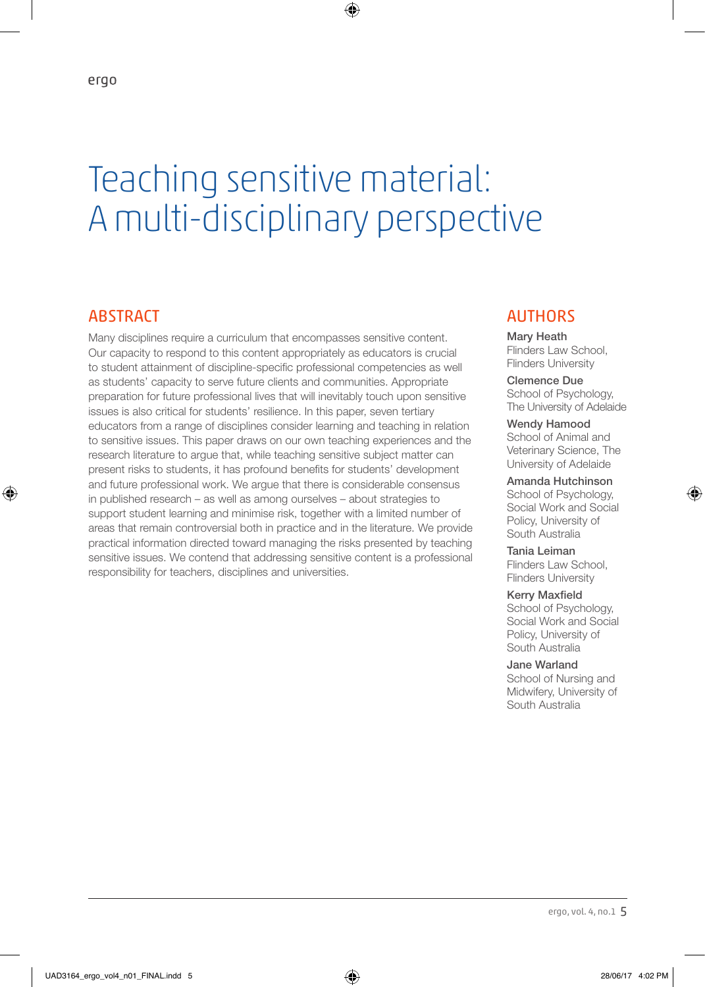# Teaching sensitive material: A multi-disciplinary perspective

♠

# **ABSTRACT**

⊕

Many disciplines require a curriculum that encompasses sensitive content. Our capacity to respond to this content appropriately as educators is crucial to student attainment of discipline-specific professional competencies as well as students' capacity to serve future clients and communities. Appropriate preparation for future professional lives that will inevitably touch upon sensitive issues is also critical for students' resilience. In this paper, seven tertiary educators from a range of disciplines consider learning and teaching in relation to sensitive issues. This paper draws on our own teaching experiences and the research literature to argue that, while teaching sensitive subject matter can present risks to students, it has profound benefits for students' development and future professional work. We argue that there is considerable consensus in published research – as well as among ourselves – about strategies to support student learning and minimise risk, together with a limited number of areas that remain controversial both in practice and in the literature. We provide practical information directed toward managing the risks presented by teaching sensitive issues. We contend that addressing sensitive content is a professional responsibility for teachers, disciplines and universities.

# **AUTHORS**

Mary Heath Flinders Law School, Flinders University

Clemence Due School of Psychology, The University of Adelaide

Wendy Hamood School of Animal and Veterinary Science, The University of Adelaide

Amanda Hutchinson School of Psychology, Social Work and Social Policy, University of South Australia

♠

Tania Leiman Flinders Law School, Flinders University

Kerry Maxfield School of Psychology, Social Work and Social Policy, University of South Australia

Jane Warland School of Nursing and Midwifery, University of

South Australia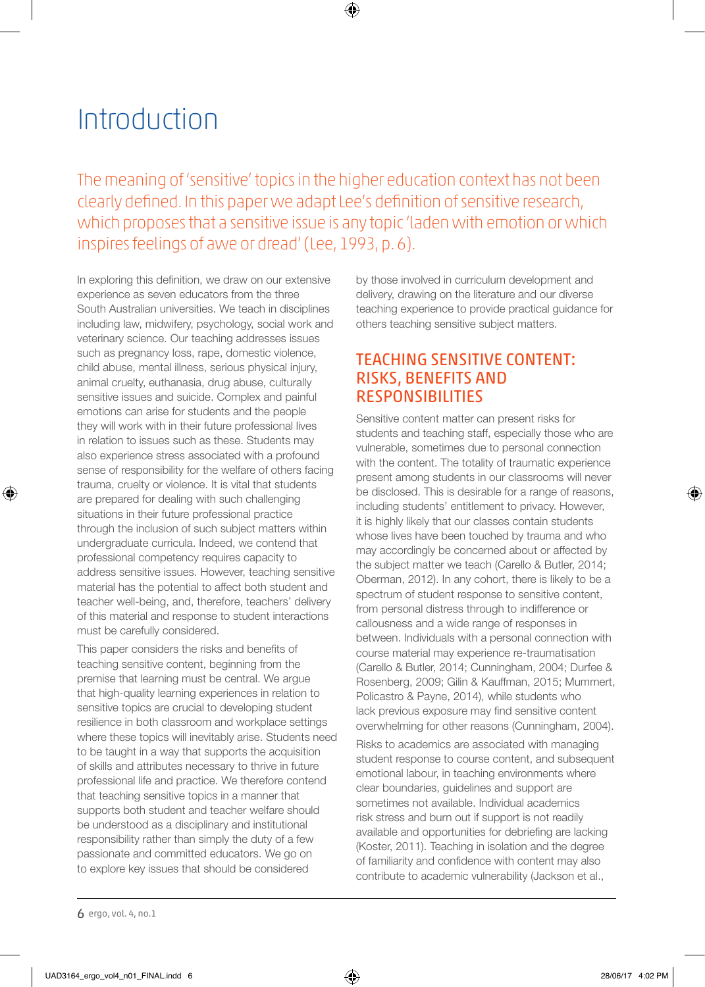# Introduction

The meaning of 'sensitive' topics in the higher education context has not been clearly defined. In this paper we adapt Lee's definition of sensitive research, which proposes that a sensitive issue is any topic 'laden with emotion or which inspires feelings of awe or dread' (Lee, 1993, p. 6).

⊕

In exploring this definition, we draw on our extensive experience as seven educators from the three South Australian universities. We teach in disciplines including law, midwifery, psychology, social work and veterinary science. Our teaching addresses issues such as pregnancy loss, rape, domestic violence, child abuse, mental illness, serious physical injury, animal cruelty, euthanasia, drug abuse, culturally sensitive issues and suicide. Complex and painful emotions can arise for students and the people they will work with in their future professional lives in relation to issues such as these. Students may also experience stress associated with a profound sense of responsibility for the welfare of others facing trauma, cruelty or violence. It is vital that students are prepared for dealing with such challenging situations in their future professional practice through the inclusion of such subject matters within undergraduate curricula. Indeed, we contend that professional competency requires capacity to address sensitive issues. However, teaching sensitive material has the potential to affect both student and teacher well-being, and, therefore, teachers' delivery of this material and response to student interactions must be carefully considered.

This paper considers the risks and benefits of teaching sensitive content, beginning from the premise that learning must be central. We argue that high-quality learning experiences in relation to sensitive topics are crucial to developing student resilience in both classroom and workplace settings where these topics will inevitably arise. Students need to be taught in a way that supports the acquisition of skills and attributes necessary to thrive in future professional life and practice. We therefore contend that teaching sensitive topics in a manner that supports both student and teacher welfare should be understood as a disciplinary and institutional responsibility rather than simply the duty of a few passionate and committed educators. We go on to explore key issues that should be considered

by those involved in curriculum development and delivery, drawing on the literature and our diverse teaching experience to provide practical guidance for others teaching sensitive subject matters.

# TEACHING SENSITIVE CONTENT: RISKS, BENEFITS AND RESPONSIBILITIES

Sensitive content matter can present risks for students and teaching staff, especially those who are vulnerable, sometimes due to personal connection with the content. The totality of traumatic experience present among students in our classrooms will never be disclosed. This is desirable for a range of reasons, including students' entitlement to privacy. However, it is highly likely that our classes contain students whose lives have been touched by trauma and who may accordingly be concerned about or affected by the subject matter we teach (Carello & Butler, 2014; Oberman, 2012). In any cohort, there is likely to be a spectrum of student response to sensitive content, from personal distress through to indifference or callousness and a wide range of responses in between. Individuals with a personal connection with course material may experience re-traumatisation (Carello & Butler, 2014; Cunningham, 2004; Durfee & Rosenberg, 2009; Gilin & Kauffman, 2015; Mummert, Policastro & Payne, 2014), while students who lack previous exposure may find sensitive content overwhelming for other reasons (Cunningham, 2004).

Risks to academics are associated with managing student response to course content, and subsequent emotional labour, in teaching environments where clear boundaries, guidelines and support are sometimes not available. Individual academics risk stress and burn out if support is not readily available and opportunities for debriefing are lacking (Koster, 2011). Teaching in isolation and the degree of familiarity and confidence with content may also contribute to academic vulnerability (Jackson et al.,

6 ergo, vol. 4, no.1

⊕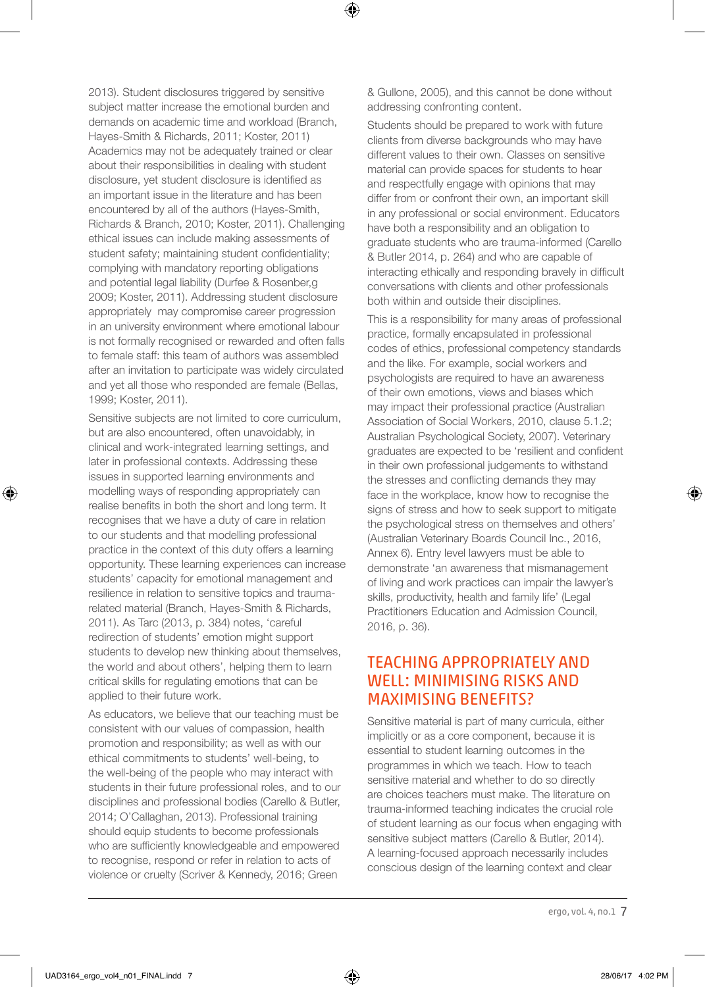2013). Student disclosures triggered by sensitive subject matter increase the emotional burden and demands on academic time and workload (Branch, Hayes-Smith & Richards, 2011; Koster, 2011) Academics may not be adequately trained or clear about their responsibilities in dealing with student disclosure, yet student disclosure is identified as an important issue in the literature and has been encountered by all of the authors (Hayes-Smith, Richards & Branch, 2010; Koster, 2011). Challenging ethical issues can include making assessments of student safety; maintaining student confidentiality; complying with mandatory reporting obligations and potential legal liability (Durfee & Rosenber, q 2009; Koster, 2011). Addressing student disclosure appropriately may compromise career progression in an university environment where emotional labour is not formally recognised or rewarded and often falls to female staff: this team of authors was assembled after an invitation to participate was widely circulated and yet all those who responded are female (Bellas, 1999; Koster, 2011).

Sensitive subjects are not limited to core curriculum, but are also encountered, often unavoidably, in clinical and work-integrated learning settings, and later in professional contexts. Addressing these issues in supported learning environments and modelling ways of responding appropriately can realise benefits in both the short and long term. It recognises that we have a duty of care in relation to our students and that modelling professional practice in the context of this duty offers a learning opportunity. These learning experiences can increase students' capacity for emotional management and resilience in relation to sensitive topics and traumarelated material (Branch, Hayes-Smith & Richards, 2011). As Tarc (2013, p. 384) notes, 'careful redirection of students' emotion might support students to develop new thinking about themselves, the world and about others', helping them to learn critical skills for regulating emotions that can be applied to their future work.

As educators, we believe that our teaching must be consistent with our values of compassion, health promotion and responsibility; as well as with our ethical commitments to students' well-being, to the well-being of the people who may interact with students in their future professional roles, and to our disciplines and professional bodies (Carello & Butler, 2014; O'Callaghan, 2013). Professional training should equip students to become professionals who are sufficiently knowledgeable and empowered to recognise, respond or refer in relation to acts of violence or cruelty (Scriver & Kennedy, 2016; Green

& Gullone, 2005), and this cannot be done without addressing confronting content.

⊕

Students should be prepared to work with future clients from diverse backgrounds who may have different values to their own. Classes on sensitive material can provide spaces for students to hear and respectfully engage with opinions that may differ from or confront their own, an important skill in any professional or social environment. Educators have both a responsibility and an obligation to graduate students who are trauma-informed (Carello & Butler 2014, p. 264) and who are capable of interacting ethically and responding bravely in difficult conversations with clients and other professionals both within and outside their disciplines.

This is a responsibility for many areas of professional practice, formally encapsulated in professional codes of ethics, professional competency standards and the like. For example, social workers and psychologists are required to have an awareness of their own emotions, views and biases which may impact their professional practice (Australian Association of Social Workers, 2010, clause 5.1.2; Australian Psychological Society, 2007). Veterinary graduates are expected to be 'resilient and confident in their own professional judgements to withstand the stresses and conflicting demands they may face in the workplace, know how to recognise the signs of stress and how to seek support to mitigate the psychological stress on themselves and others' (Australian Veterinary Boards Council Inc., 2016, Annex 6). Entry level lawyers must be able to demonstrate 'an awareness that mismanagement of living and work practices can impair the lawyer's skills, productivity, health and family life' (Legal Practitioners Education and Admission Council, 2016, p. 36).

# TEACHING APPROPRIATELY AND WELL: MINIMISING RISKS AND MAXIMISING BENEFITS?

Sensitive material is part of many curricula, either implicitly or as a core component, because it is essential to student learning outcomes in the programmes in which we teach. How to teach sensitive material and whether to do so directly are choices teachers must make. The literature on trauma-informed teaching indicates the crucial role of student learning as our focus when engaging with sensitive subject matters (Carello & Butler, 2014). A learning-focused approach necessarily includes conscious design of the learning context and clear

⊕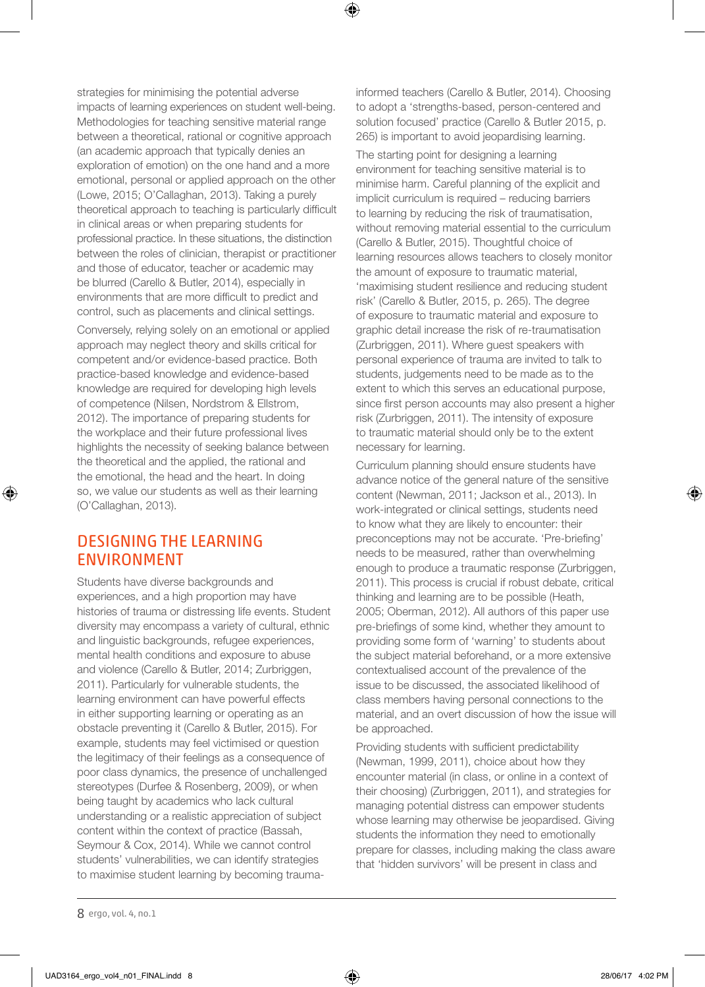strategies for minimising the potential adverse impacts of learning experiences on student well-being. Methodologies for teaching sensitive material range between a theoretical, rational or cognitive approach (an academic approach that typically denies an exploration of emotion) on the one hand and a more emotional, personal or applied approach on the other (Lowe, 2015; O'Callaghan, 2013). Taking a purely theoretical approach to teaching is particularly difficult in clinical areas or when preparing students for professional practice. In these situations, the distinction between the roles of clinician, therapist or practitioner and those of educator, teacher or academic may be blurred (Carello & Butler, 2014), especially in environments that are more difficult to predict and control, such as placements and clinical settings.

Conversely, relying solely on an emotional or applied approach may neglect theory and skills critical for competent and/or evidence-based practice. Both practice-based knowledge and evidence-based knowledge are required for developing high levels of competence (Nilsen, Nordstrom & Ellstrom, 2012). The importance of preparing students for the workplace and their future professional lives highlights the necessity of seeking balance between the theoretical and the applied, the rational and the emotional, the head and the heart. In doing so, we value our students as well as their learning (O'Callaghan, 2013).

#### DESIGNING THE LEARNING ENVIRONMENT

⊕

Students have diverse backgrounds and experiences, and a high proportion may have histories of trauma or distressing life events. Student diversity may encompass a variety of cultural, ethnic and linguistic backgrounds, refugee experiences, mental health conditions and exposure to abuse and violence (Carello & Butler, 2014; Zurbriggen, 2011). Particularly for vulnerable students, the learning environment can have powerful effects in either supporting learning or operating as an obstacle preventing it (Carello & Butler, 2015). For example, students may feel victimised or question the legitimacy of their feelings as a consequence of poor class dynamics, the presence of unchallenged stereotypes (Durfee & Rosenberg, 2009), or when being taught by academics who lack cultural understanding or a realistic appreciation of subject content within the context of practice (Bassah, Seymour & Cox, 2014). While we cannot control students' vulnerabilities, we can identify strategies to maximise student learning by becoming traumainformed teachers (Carello & Butler, 2014). Choosing to adopt a 'strengths-based, person-centered and solution focused' practice (Carello & Butler 2015, p. 265) is important to avoid jeopardising learning.

⊕

The starting point for designing a learning environment for teaching sensitive material is to minimise harm. Careful planning of the explicit and implicit curriculum is required – reducing barriers to learning by reducing the risk of traumatisation, without removing material essential to the curriculum (Carello & Butler, 2015). Thoughtful choice of learning resources allows teachers to closely monitor the amount of exposure to traumatic material, 'maximising student resilience and reducing student risk' (Carello & Butler, 2015, p. 265). The degree of exposure to traumatic material and exposure to graphic detail increase the risk of re-traumatisation (Zurbriggen, 2011). Where guest speakers with personal experience of trauma are invited to talk to students, judgements need to be made as to the extent to which this serves an educational purpose, since first person accounts may also present a higher risk (Zurbriggen, 2011). The intensity of exposure to traumatic material should only be to the extent necessary for learning.

Curriculum planning should ensure students have advance notice of the general nature of the sensitive content (Newman, 2011; Jackson et al., 2013). In work-integrated or clinical settings, students need to know what they are likely to encounter: their preconceptions may not be accurate. 'Pre-briefing' needs to be measured, rather than overwhelming enough to produce a traumatic response (Zurbriggen, 2011). This process is crucial if robust debate, critical thinking and learning are to be possible (Heath, 2005; Oberman, 2012). All authors of this paper use pre-briefings of some kind, whether they amount to providing some form of 'warning' to students about the subject material beforehand, or a more extensive contextualised account of the prevalence of the issue to be discussed, the associated likelihood of class members having personal connections to the material, and an overt discussion of how the issue will be approached.

Providing students with sufficient predictability (Newman, 1999, 2011), choice about how they encounter material (in class, or online in a context of their choosing) (Zurbriggen, 2011), and strategies for managing potential distress can empower students whose learning may otherwise be jeopardised. Giving students the information they need to emotionally prepare for classes, including making the class aware that 'hidden survivors' will be present in class and

8 ergo, vol. 4, no.1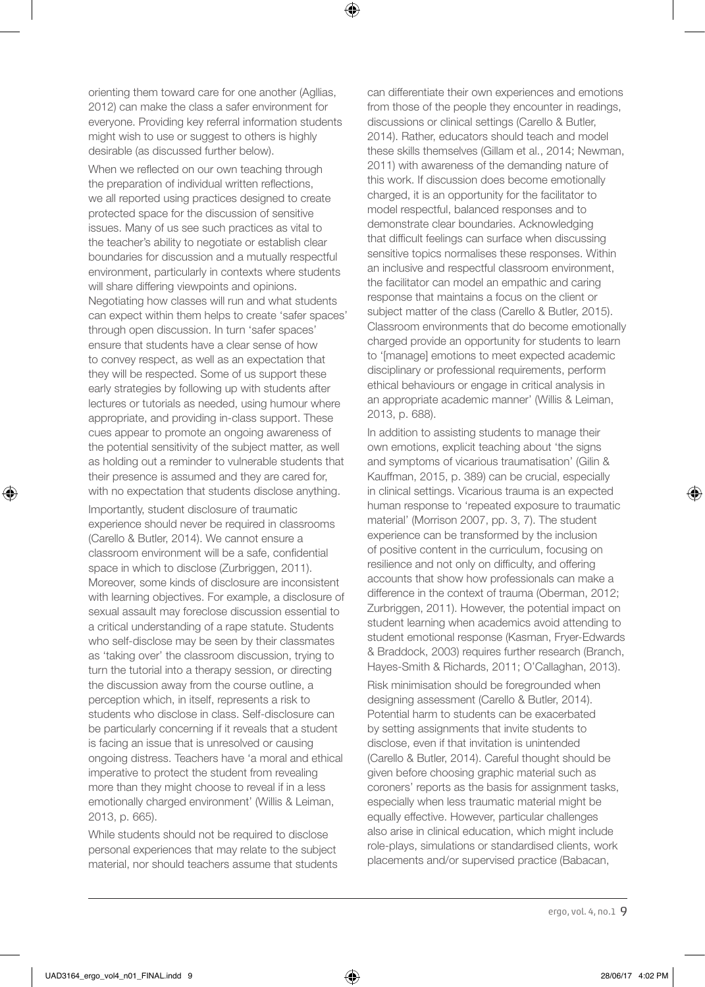orienting them toward care for one another (Agllias, 2012) can make the class a safer environment for everyone. Providing key referral information students might wish to use or suggest to others is highly desirable (as discussed further below).

⊕

When we reflected on our own teaching through the preparation of individual written reflections, we all reported using practices designed to create protected space for the discussion of sensitive issues. Many of us see such practices as vital to the teacher's ability to negotiate or establish clear boundaries for discussion and a mutually respectful environment, particularly in contexts where students will share differing viewpoints and opinions. Negotiating how classes will run and what students can expect within them helps to create 'safer spaces' through open discussion. In turn 'safer spaces' ensure that students have a clear sense of how to convey respect, as well as an expectation that they will be respected. Some of us support these early strategies by following up with students after lectures or tutorials as needed, using humour where appropriate, and providing in-class support. These cues appear to promote an ongoing awareness of the potential sensitivity of the subject matter, as well as holding out a reminder to vulnerable students that their presence is assumed and they are cared for, with no expectation that students disclose anything.

Importantly, student disclosure of traumatic experience should never be required in classrooms (Carello & Butler, 2014). We cannot ensure a classroom environment will be a safe, confidential space in which to disclose (Zurbriggen, 2011). Moreover, some kinds of disclosure are inconsistent with learning objectives. For example, a disclosure of sexual assault may foreclose discussion essential to a critical understanding of a rape statute. Students who self-disclose may be seen by their classmates as 'taking over' the classroom discussion, trying to turn the tutorial into a therapy session, or directing the discussion away from the course outline, a perception which, in itself, represents a risk to students who disclose in class. Self-disclosure can be particularly concerning if it reveals that a student is facing an issue that is unresolved or causing ongoing distress. Teachers have 'a moral and ethical imperative to protect the student from revealing more than they might choose to reveal if in a less emotionally charged environment' (Willis & Leiman, 2013, p. 665).

While students should not be required to disclose personal experiences that may relate to the subject material, nor should teachers assume that students can differentiate their own experiences and emotions from those of the people they encounter in readings, discussions or clinical settings (Carello & Butler, 2014). Rather, educators should teach and model these skills themselves (Gillam et al., 2014; Newman, 2011) with awareness of the demanding nature of this work. If discussion does become emotionally charged, it is an opportunity for the facilitator to model respectful, balanced responses and to demonstrate clear boundaries. Acknowledging that difficult feelings can surface when discussing sensitive topics normalises these responses. Within an inclusive and respectful classroom environment, the facilitator can model an empathic and caring response that maintains a focus on the client or subject matter of the class (Carello & Butler, 2015). Classroom environments that do become emotionally charged provide an opportunity for students to learn to '[manage] emotions to meet expected academic disciplinary or professional requirements, perform ethical behaviours or engage in critical analysis in an appropriate academic manner' (Willis & Leiman, 2013, p. 688).

In addition to assisting students to manage their own emotions, explicit teaching about 'the signs and symptoms of vicarious traumatisation' (Gilin & Kauffman, 2015, p. 389) can be crucial, especially in clinical settings. Vicarious trauma is an expected human response to 'repeated exposure to traumatic material' (Morrison 2007, pp. 3, 7). The student experience can be transformed by the inclusion of positive content in the curriculum, focusing on resilience and not only on difficulty, and offering accounts that show how professionals can make a difference in the context of trauma (Oberman, 2012; Zurbriggen, 2011). However, the potential impact on student learning when academics avoid attending to student emotional response (Kasman, Fryer-Edwards & Braddock, 2003) requires further research (Branch, Hayes-Smith & Richards, 2011; O'Callaghan, 2013).

Risk minimisation should be foregrounded when designing assessment (Carello & Butler, 2014). Potential harm to students can be exacerbated by setting assignments that invite students to disclose, even if that invitation is unintended (Carello & Butler, 2014). Careful thought should be given before choosing graphic material such as coroners' reports as the basis for assignment tasks, especially when less traumatic material might be equally effective. However, particular challenges also arise in clinical education, which might include role-plays, simulations or standardised clients, work placements and/or supervised practice (Babacan,

⊕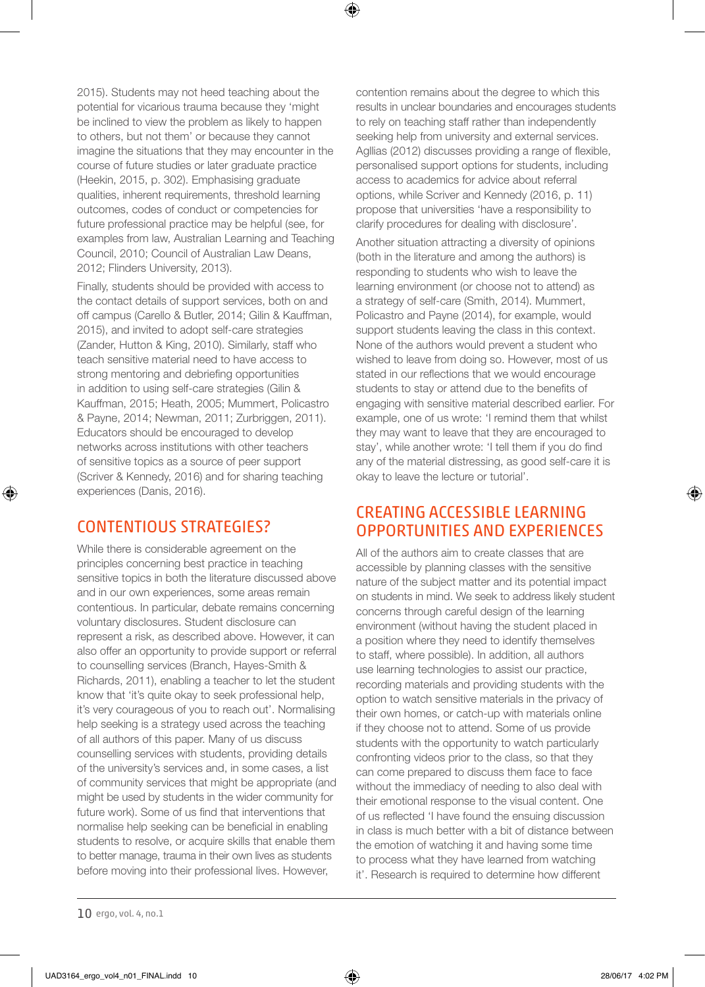2015). Students may not heed teaching about the potential for vicarious trauma because they 'might be inclined to view the problem as likely to happen to others, but not them' or because they cannot imagine the situations that they may encounter in the course of future studies or later graduate practice (Heekin, 2015, p. 302). Emphasising graduate qualities, inherent requirements, threshold learning outcomes, codes of conduct or competencies for future professional practice may be helpful (see, for examples from law, Australian Learning and Teaching Council, 2010; Council of Australian Law Deans, 2012; Flinders University, 2013).

Finally, students should be provided with access to the contact details of support services, both on and off campus (Carello & Butler, 2014; Gilin & Kauffman, 2015), and invited to adopt self-care strategies (Zander, Hutton & King, 2010). Similarly, staff who teach sensitive material need to have access to strong mentoring and debriefing opportunities in addition to using self-care strategies (Gilin & Kauffman, 2015; Heath, 2005; Mummert, Policastro & Payne, 2014; Newman, 2011; Zurbriggen, 2011). Educators should be encouraged to develop networks across institutions with other teachers of sensitive topics as a source of peer support (Scriver & Kennedy, 2016) and for sharing teaching experiences (Danis, 2016).

#### CONTENTIOUS STRATEGIES?

⊕

While there is considerable agreement on the principles concerning best practice in teaching sensitive topics in both the literature discussed above and in our own experiences, some areas remain contentious. In particular, debate remains concerning voluntary disclosures. Student disclosure can represent a risk, as described above. However, it can also offer an opportunity to provide support or referral to counselling services (Branch, Hayes-Smith & Richards, 2011), enabling a teacher to let the student know that 'it's quite okay to seek professional help, it's very courageous of you to reach out'. Normalising help seeking is a strategy used across the teaching of all authors of this paper. Many of us discuss counselling services with students, providing details of the university's services and, in some cases, a list of community services that might be appropriate (and might be used by students in the wider community for future work). Some of us find that interventions that normalise help seeking can be beneficial in enabling students to resolve, or acquire skills that enable them to better manage, trauma in their own lives as students before moving into their professional lives. However,

contention remains about the degree to which this results in unclear boundaries and encourages students to rely on teaching staff rather than independently seeking help from university and external services. Agllias (2012) discusses providing a range of flexible, personalised support options for students, including access to academics for advice about referral options, while Scriver and Kennedy (2016, p. 11) propose that universities 'have a responsibility to clarify procedures for dealing with disclosure'.

⊕

Another situation attracting a diversity of opinions (both in the literature and among the authors) is responding to students who wish to leave the learning environment (or choose not to attend) as a strategy of self-care (Smith, 2014). Mummert, Policastro and Payne (2014), for example, would support students leaving the class in this context. None of the authors would prevent a student who wished to leave from doing so. However, most of us stated in our reflections that we would encourage students to stay or attend due to the benefits of engaging with sensitive material described earlier. For example, one of us wrote: 'I remind them that whilst they may want to leave that they are encouraged to stay', while another wrote: 'I tell them if you do find any of the material distressing, as good self-care it is okay to leave the lecture or tutorial'.

# CREATING ACCESSIBLE LEARNING OPPORTUNITIES AND EXPERIENCES

All of the authors aim to create classes that are accessible by planning classes with the sensitive nature of the subject matter and its potential impact on students in mind. We seek to address likely student concerns through careful design of the learning environment (without having the student placed in a position where they need to identify themselves to staff, where possible). In addition, all authors use learning technologies to assist our practice, recording materials and providing students with the option to watch sensitive materials in the privacy of their own homes, or catch-up with materials online if they choose not to attend. Some of us provide students with the opportunity to watch particularly confronting videos prior to the class, so that they can come prepared to discuss them face to face without the immediacy of needing to also deal with their emotional response to the visual content. One of us reflected 'I have found the ensuing discussion in class is much better with a bit of distance between the emotion of watching it and having some time to process what they have learned from watching it'. Research is required to determine how different

<sup>10</sup> ergo, vol. 4, no.1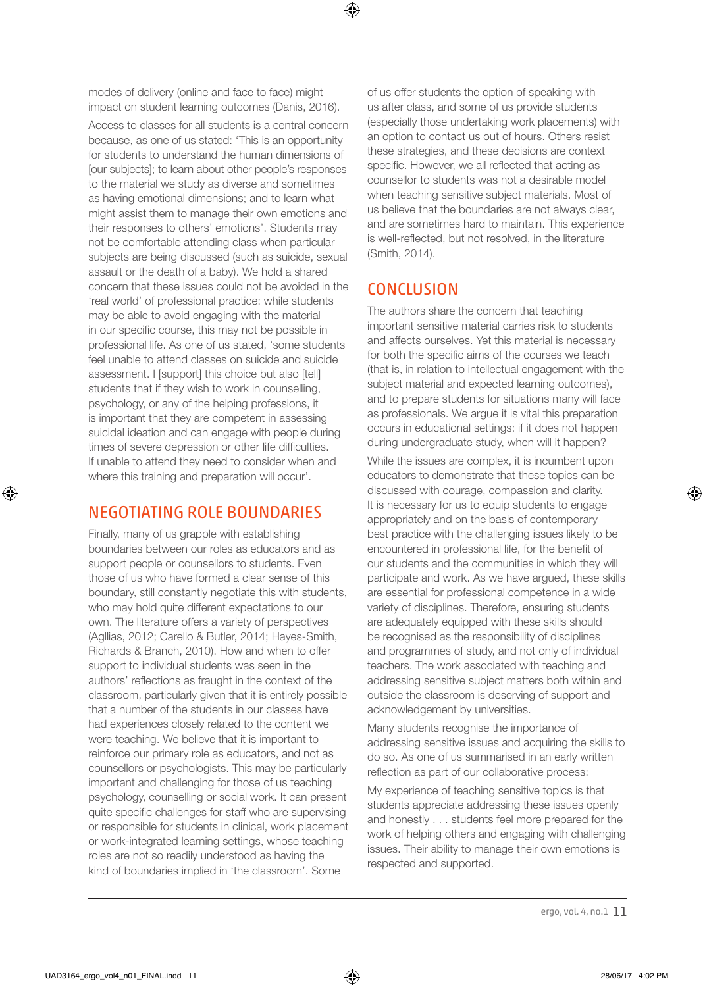modes of delivery (online and face to face) might impact on student learning outcomes (Danis, 2016).

Access to classes for all students is a central concern because, as one of us stated: 'This is an opportunity for students to understand the human dimensions of [our subjects]; to learn about other people's responses to the material we study as diverse and sometimes as having emotional dimensions; and to learn what might assist them to manage their own emotions and their responses to others' emotions'. Students may not be comfortable attending class when particular subjects are being discussed (such as suicide, sexual assault or the death of a baby). We hold a shared concern that these issues could not be avoided in the 'real world' of professional practice: while students may be able to avoid engaging with the material in our specific course, this may not be possible in professional life. As one of us stated, 'some students feel unable to attend classes on suicide and suicide assessment. I [support] this choice but also [tell] students that if they wish to work in counselling, psychology, or any of the helping professions, it is important that they are competent in assessing suicidal ideation and can engage with people during times of severe depression or other life difficulties. If unable to attend they need to consider when and where this training and preparation will occur'.

# NEGOTIATING ROLE BOUNDARIES

⊕

Finally, many of us grapple with establishing boundaries between our roles as educators and as support people or counsellors to students. Even those of us who have formed a clear sense of this boundary, still constantly negotiate this with students, who may hold quite different expectations to our own. The literature offers a variety of perspectives (Agllias, 2012; Carello & Butler, 2014; Hayes-Smith, Richards & Branch, 2010). How and when to offer support to individual students was seen in the authors' reflections as fraught in the context of the classroom, particularly given that it is entirely possible that a number of the students in our classes have had experiences closely related to the content we were teaching. We believe that it is important to reinforce our primary role as educators, and not as counsellors or psychologists. This may be particularly important and challenging for those of us teaching psychology, counselling or social work. It can present quite specific challenges for staff who are supervising or responsible for students in clinical, work placement or work-integrated learning settings, whose teaching roles are not so readily understood as having the kind of boundaries implied in 'the classroom'. Some

of us offer students the option of speaking with us after class, and some of us provide students (especially those undertaking work placements) with an option to contact us out of hours. Others resist these strategies, and these decisions are context specific. However, we all reflected that acting as counsellor to students was not a desirable model when teaching sensitive subject materials. Most of us believe that the boundaries are not always clear, and are sometimes hard to maintain. This experience is well-reflected, but not resolved, in the literature (Smith, 2014).

# **CONCLUSION**

⊕

The authors share the concern that teaching important sensitive material carries risk to students and affects ourselves. Yet this material is necessary for both the specific aims of the courses we teach (that is, in relation to intellectual engagement with the subject material and expected learning outcomes), and to prepare students for situations many will face as professionals. We argue it is vital this preparation occurs in educational settings: if it does not happen during undergraduate study, when will it happen?

While the issues are complex, it is incumbent upon educators to demonstrate that these topics can be discussed with courage, compassion and clarity. It is necessary for us to equip students to engage appropriately and on the basis of contemporary best practice with the challenging issues likely to be encountered in professional life, for the benefit of our students and the communities in which they will participate and work. As we have argued, these skills are essential for professional competence in a wide variety of disciplines. Therefore, ensuring students are adequately equipped with these skills should be recognised as the responsibility of disciplines and programmes of study, and not only of individual teachers. The work associated with teaching and addressing sensitive subject matters both within and outside the classroom is deserving of support and acknowledgement by universities.

Many students recognise the importance of addressing sensitive issues and acquiring the skills to do so. As one of us summarised in an early written reflection as part of our collaborative process:

My experience of teaching sensitive topics is that students appreciate addressing these issues openly and honestly . . . students feel more prepared for the work of helping others and engaging with challenging issues. Their ability to manage their own emotions is respected and supported.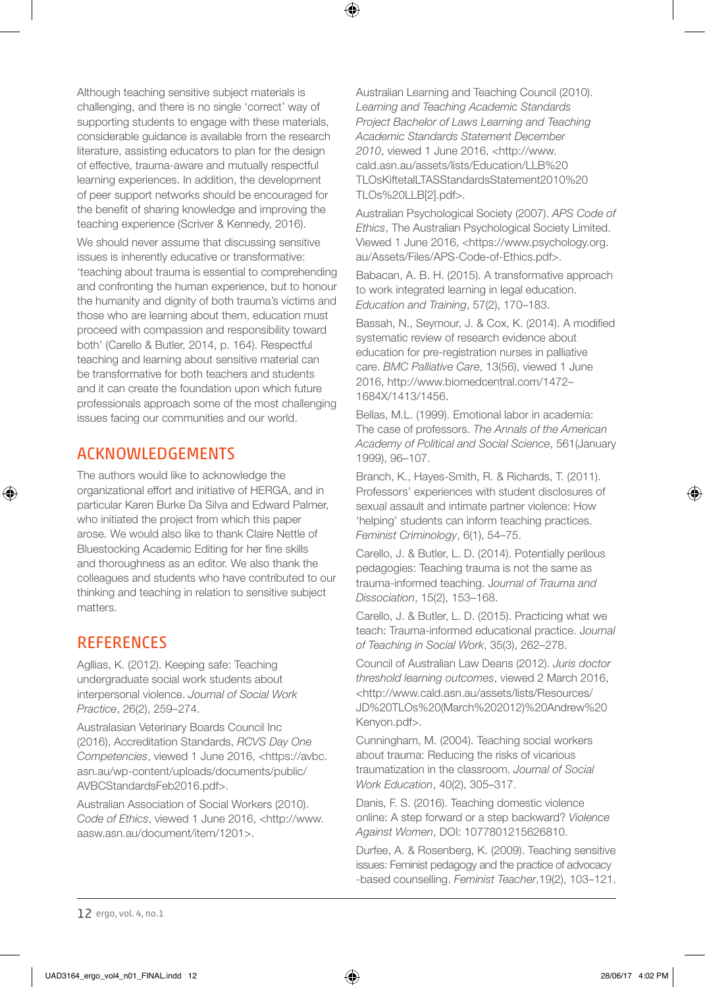Although teaching sensitive subject materials is challenging, and there is no single 'correct' way of supporting students to engage with these materials, considerable guidance is available from the research literature, assisting educators to plan for the design of effective, trauma-aware and mutually respectful learning experiences. In addition, the development of peer support networks should be encouraged for the benefit of sharing knowledge and improving the teaching experience (Scriver & Kennedy, 2016).

We should never assume that discussing sensitive issues is inherently educative or transformative: 'teaching about trauma is essential to comprehending and confronting the human experience, but to honour the humanity and dignity of both trauma's victims and those who are learning about them, education must proceed with compassion and responsibility toward both' (Carello & Butler, 2014, p. 164). Respectful teaching and learning about sensitive material can be transformative for both teachers and students and it can create the foundation upon which future professionals approach some of the most challenging issues facing our communities and our world.

#### ACKNOWLEDGEMENTS

The authors would like to acknowledge the organizational effort and initiative of HERGA, and in particular Karen Burke Da Silva and Edward Palmer, who initiated the project from which this paper arose. We would also like to thank Claire Nettle of Bluestocking Academic Editing for her fine skills and thoroughness as an editor. We also thank the colleagues and students who have contributed to our thinking and teaching in relation to sensitive subject matters.

# **REFERENCES**

⊕

Agllias, K. (2012). Keeping safe: Teaching undergraduate social work students about interpersonal violence. *Journal of Social Work Practice*, 26(2), 259–274.

Australasian Veterinary Boards Council Inc (2016), Accreditation Standards, *RCVS Day One Competencies*, viewed 1 June 2016, <https://avbc. asn.au/wp-content/uploads/documents/public/ AVBCStandardsFeb2016.pdf>.

Australian Association of Social Workers (2010). *Code of Ethics*, viewed 1 June 2016, <http://www. aasw.asn.au/document/item/1201>.

Australian Learning and Teaching Council (2010). *Learning and Teaching Academic Standards Project Bachelor of Laws Learning and Teaching Academic Standards Statement December 2010*, viewed 1 June 2016, <http://www. cald.asn.au/assets/lists/Education/LLB%20 TLOsKiftetalLTASStandardsStatement2010%20 TLOs%20LLB[2].pdf>.

⊕

Australian Psychological Society (2007). *APS Code of Ethics*, The Australian Psychological Society Limited. Viewed 1 June 2016, <https://www.psychology.org. au/Assets/Files/APS-Code-of-Ethics.pdf>.

Babacan, A. B. H. (2015). A transformative approach to work integrated learning in legal education. *Education and Training*, 57(2), 170–183.

Bassah, N., Seymour, J. & Cox, K. (2014). A modified systematic review of research evidence about education for pre-registration nurses in palliative care. *BMC Palliative Care*, 13(56), viewed 1 June 2016, http://www.biomedcentral.com/1472– 1684X/1413/1456.

Bellas, M.L. (1999). Emotional labor in academia: The case of professors. *The Annals of the American Academy of Political and Social Science*, 561(January 1999), 96–107.

Branch, K., Hayes-Smith, R. & Richards, T. (2011). Professors' experiences with student disclosures of sexual assault and intimate partner violence: How 'helping' students can inform teaching practices. *Feminist Criminology*, 6(1), 54–75.

Carello, J. & Butler, L. D. (2014). Potentially perilous pedagogies: Teaching trauma is not the same as trauma-informed teaching. J*ournal of Trauma and Dissociation*, 15(2), 153–168.

Carello, J. & Butler, L. D. (2015). Practicing what we teach: Trauma-informed educational practice. J*ournal of Teaching in Social Work*, 35(3), 262–278.

Council of Australian Law Deans (2012). *Juris doctor threshold learning outcomes*, viewed 2 March 2016, <http://www.cald.asn.au/assets/lists/Resources/ JD%20TLOs%20(March%202012)%20Andrew%20 Kenyon.pdf>.

Cunningham, M. (2004). Teaching social workers about trauma: Reducing the risks of vicarious traumatization in the classroom. *Journal of Social Work Education*, 40(2), 305–317.

Danis, F. S. (2016). Teaching domestic violence online: A step forward or a step backward? *Violence Against Women*, DOI: 1077801215626810.

Durfee, A. & Rosenberg, K. (2009). Teaching sensitive issues: Feminist pedagogy and the practice of advocacy -based counselling. *Feminist Teacher*,19(2), 103–121.

12 ergo, vol. 4, no.1